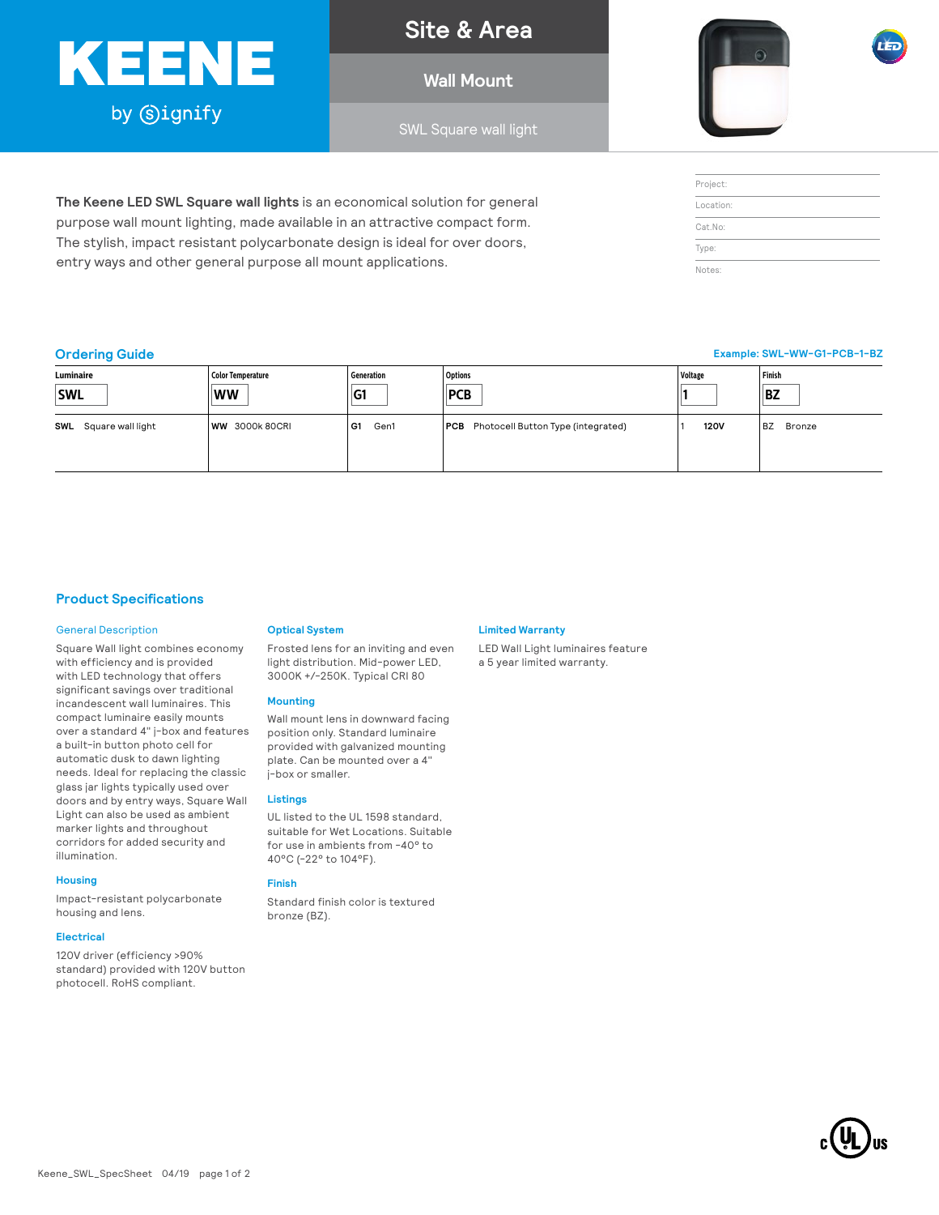# KEENE by Signify

**Site & Area**

**Wall Mount**

SWL Square wall light



| Project:  |  |
|-----------|--|
| Location: |  |
| Cat.No:   |  |
| Type:     |  |
| Notes:    |  |

**Example: SWL-WW-G1-PCB-1-BZ**

### **Ordering Guide**

| Luminaire                | Color Temperature    | Generation | <b>Options</b>                                | Voltage     | Finish              |
|--------------------------|----------------------|------------|-----------------------------------------------|-------------|---------------------|
| <b>SWL</b>               | <b>WW</b>            | IG1        | <b>PCB</b>                                    |             | <b>BZ</b>           |
| Square wall light<br>SWL | <b>WW 3000k80CRI</b> | G1<br>Gen1 | <b>PCB</b> Photocell Button Type (integrated) | <b>120V</b> | <b>BZ</b><br>Bronze |

## **Product Specifications**

#### General Description

Square Wall light combines economy with efficiency and is provided with LED technology that offers significant savings over traditional incandescent wall luminaires. This compact luminaire easily mounts over a standard 4" j-box and features a built-in button photo cell for automatic dusk to dawn lighting needs. Ideal for replacing the classic glass jar lights typically used over doors and by entry ways, Square Wall Light can also be used as ambient marker lights and throughout corridors for added security and illumination.

#### **Housing**

Impact-resistant polycarbonate housing and lens.

#### **Electrical**

120V driver (efficiency >90% standard) provided with 120V button photocell. RoHS compliant.

#### **Optical System**

**The Keene LED SWL Square wall lights** is an economical solution for general purpose wall mount lighting, made available in an attractive compact form. The stylish, impact resistant polycarbonate design is ideal for over doors,

entry ways and other general purpose all mount applications.

Frosted lens for an inviting and even light distribution. Mid-power LED, 3000K +/-250K. Typical CRI 80

#### **Mounting**

Wall mount lens in downward facing position only. Standard luminaire provided with galvanized mounting plate. Can be mounted over a 4" j-box or smaller.

#### **Listings**

UL listed to the UL 1598 standard, suitable for Wet Locations. Suitable for use in ambients from -40° to 40°C (-22° to 104°F).

### **Finish**

Standard finish color is textured bronze (BZ).

#### **Limited Warranty**

LED Wall Light luminaires feature a 5 year limited warranty.